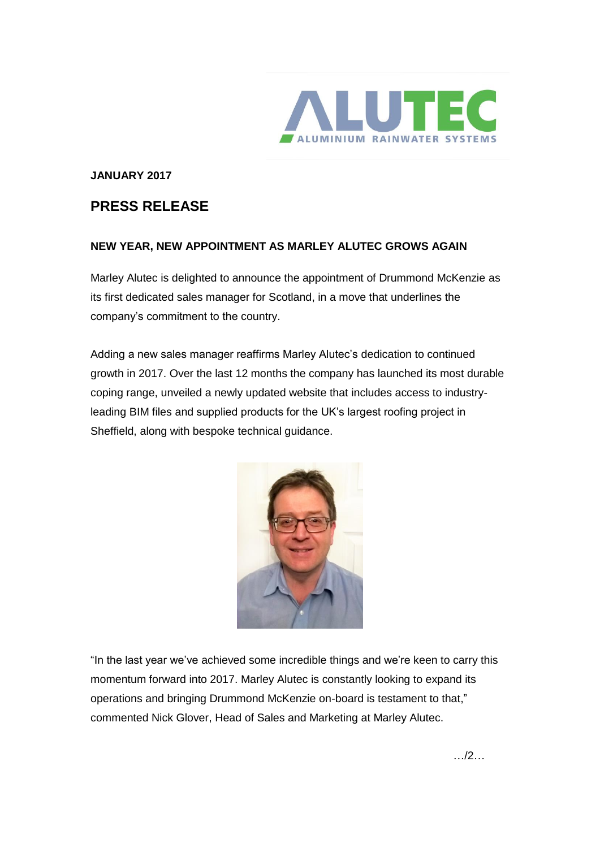

## **JANUARY 2017**

## **PRESS RELEASE**

## **NEW YEAR, NEW APPOINTMENT AS MARLEY ALUTEC GROWS AGAIN**

Marley Alutec is delighted to announce the appointment of Drummond McKenzie as its first dedicated sales manager for Scotland, in a move that underlines the company's commitment to the country.

Adding a new sales manager reaffirms Marley Alutec's dedication to continued growth in 2017. Over the last 12 months the company has launched its most durable coping range, unveiled a newly updated website that includes access to industryleading BIM files and supplied products for the UK's largest roofing project in Sheffield, along with bespoke technical guidance.



"In the last year we've achieved some incredible things and we're keen to carry this momentum forward into 2017. Marley Alutec is constantly looking to expand its operations and bringing Drummond McKenzie on-board is testament to that," commented Nick Glover, Head of Sales and Marketing at Marley Alutec.